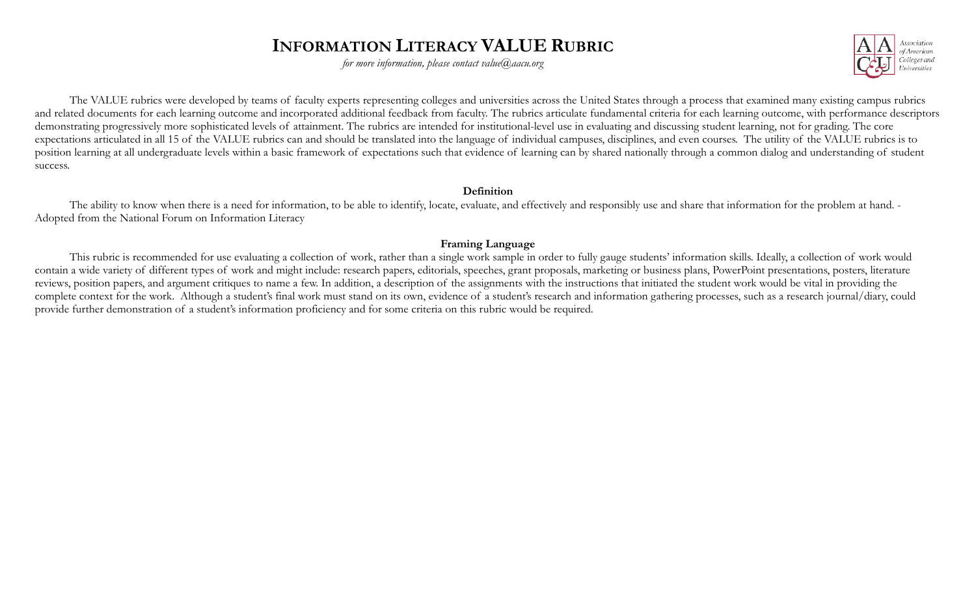# **INFORMATION LITERACY VALUE RUBRIC**

*for more information, please contact value@aacu.org*



The VALUE rubrics were developed by teams of faculty experts representing colleges and universities across the United States through a process that examined many existing campus rubrics and related documents for each learning outcome and incorporated additional feedback from faculty. The rubrics articulate fundamental criteria for each learning outcome, with performance descriptors demonstrating progressively more sophisticated levels of attainment. The rubrics are intended for institutional-level use in evaluating and discussing student learning, not for grading. The core expectations articulated in all 15 of the VALUE rubrics can and should be translated into the language of individual campuses, disciplines, and even courses. The utility of the VALUE rubrics is to position learning at all undergraduate levels within a basic framework of expectations such that evidence of learning can by shared nationally through a common dialog and understanding of student success.

### **Definition**

The ability to know when there is a need for information, to be able to identify, locate, evaluate, and effectively and responsibly use and share that information for the problem at hand. -Adopted from the National Forum on Information Literacy

### **Framing Language**

This rubric is recommended for use evaluating a collection of work, rather than a single work sample in order to fully gauge students' information skills. Ideally, a collection of work would contain a wide variety of different types of work and might include: research papers, editorials, speeches, grant proposals, marketing or business plans, PowerPoint presentations, posters, literature reviews, position papers, and argument critiques to name a few. In addition, a description of the assignments with the instructions that initiated the student work would be vital in providing the complete context for the work. Although a student's final work must stand on its own, evidence of a student's research and information gathering processes, such as a research journal/diary, could provide further demonstration of a student's information proficiency and for some criteria on this rubric would be required.